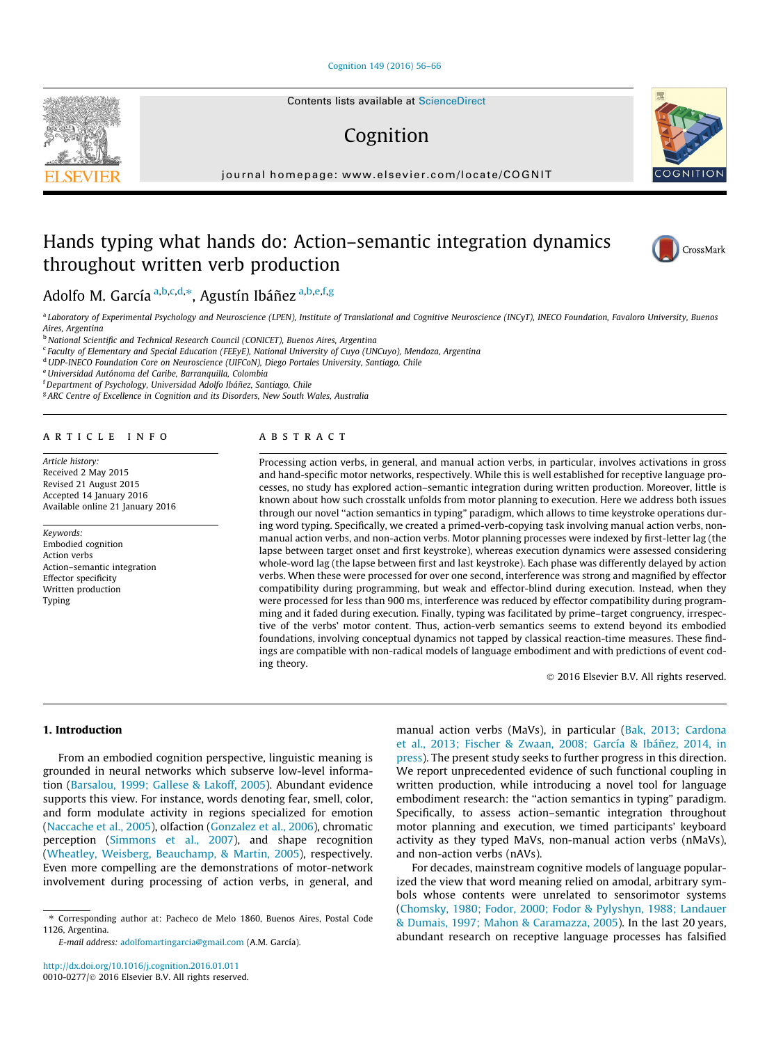#### [Cognition 149 \(2016\) 56–66](http://dx.doi.org/10.1016/j.cognition.2016.01.011)

## Cognition

journal homepage: [www.elsevier.com/locate/COGNIT](http://www.elsevier.com/locate/COGNIT)

### Hands typing what hands do: Action–semantic integration dynamics throughout written verb production



**OGNITIO** 

Adolfo M. García <sup>a,b,c,d,</sup>\*, Agustín Ibáñez <sup>a,b,e,f,g</sup>

a Laboratory of Experimental Psychology and Neuroscience (LPEN), Institute of Translational and Cognitive Neuroscience (INCyT), INECO Foundation, Favaloro University, Buenos Aires, Argentina<br><sup>b</sup> National Scientific and Technical Research Council (CONICET), Buenos Aires, Argentina

<sup>c</sup> Faculty of Elementary and Special Education (FEEyE), National University of Cuyo (UNCuyo), Mendoza, Argentina

<sup>d</sup> UDP-INECO Foundation Core on Neuroscience (UIFCoN), Diego Portales University, Santiago, Chile

<sup>e</sup>Universidad Autónoma del Caribe, Barranquilla, Colombia

f Department of Psychology, Universidad Adolfo Ibáñez, Santiago, Chile

<sup>g</sup> ARC Centre of Excellence in Cognition and its Disorders, New South Wales, Australia

#### article info

Article history: Received 2 May 2015 Revised 21 August 2015 Accepted 14 January 2016 Available online 21 January 2016

#### Keywords: Embodied cognition Action verbs

Action–semantic integration Effector specificity Written production Typing

#### **ABSTRACT**

Processing action verbs, in general, and manual action verbs, in particular, involves activations in gross and hand-specific motor networks, respectively. While this is well established for receptive language processes, no study has explored action–semantic integration during written production. Moreover, little is known about how such crosstalk unfolds from motor planning to execution. Here we address both issues through our novel ''action semantics in typing" paradigm, which allows to time keystroke operations during word typing. Specifically, we created a primed-verb-copying task involving manual action verbs, nonmanual action verbs, and non-action verbs. Motor planning processes were indexed by first-letter lag (the lapse between target onset and first keystroke), whereas execution dynamics were assessed considering whole-word lag (the lapse between first and last keystroke). Each phase was differently delayed by action verbs. When these were processed for over one second, interference was strong and magnified by effector compatibility during programming, but weak and effector-blind during execution. Instead, when they were processed for less than 900 ms, interference was reduced by effector compatibility during programming and it faded during execution. Finally, typing was facilitated by prime–target congruency, irrespective of the verbs' motor content. Thus, action-verb semantics seems to extend beyond its embodied foundations, involving conceptual dynamics not tapped by classical reaction-time measures. These findings are compatible with non-radical models of language embodiment and with predictions of event coding theory.

2016 Elsevier B.V. All rights reserved.

#### 1. Introduction

From an embodied cognition perspective, linguistic meaning is grounded in neural networks which subserve low-level information ([Barsalou, 1999; Gallese & Lakoff, 2005](#page--1-0)). Abundant evidence supports this view. For instance, words denoting fear, smell, color, and form modulate activity in regions specialized for emotion ([Naccache et al., 2005\)](#page--1-0), olfaction [\(Gonzalez et al., 2006\)](#page--1-0), chromatic perception ([Simmons et al., 2007\)](#page--1-0), and shape recognition ([Wheatley, Weisberg, Beauchamp, & Martin, 2005\)](#page--1-0), respectively. Even more compelling are the demonstrations of motor-network involvement during processing of action verbs, in general, and

E-mail address: [adolfomartingarcia@gmail.com](mailto:adolfomartingarcia@gmail.com) (A.M. García).

manual action verbs (MaVs), in particular ([Bak, 2013; Cardona](#page--1-0) [et al., 2013; Fischer & Zwaan, 2008; García & Ibáñez, 2014, in](#page--1-0) [press](#page--1-0)). The present study seeks to further progress in this direction. We report unprecedented evidence of such functional coupling in written production, while introducing a novel tool for language embodiment research: the ''action semantics in typing" paradigm. Specifically, to assess action–semantic integration throughout motor planning and execution, we timed participants' keyboard activity as they typed MaVs, non-manual action verbs (nMaVs), and non-action verbs (nAVs).

For decades, mainstream cognitive models of language popularized the view that word meaning relied on amodal, arbitrary symbols whose contents were unrelated to sensorimotor systems ([Chomsky, 1980; Fodor, 2000; Fodor & Pylyshyn, 1988; Landauer](#page--1-0) [& Dumais, 1997; Mahon & Caramazza, 2005](#page--1-0)). In the last 20 years, abundant research on receptive language processes has falsified

<sup>⇑</sup> Corresponding author at: Pacheco de Melo 1860, Buenos Aires, Postal Code 1126, Argentina.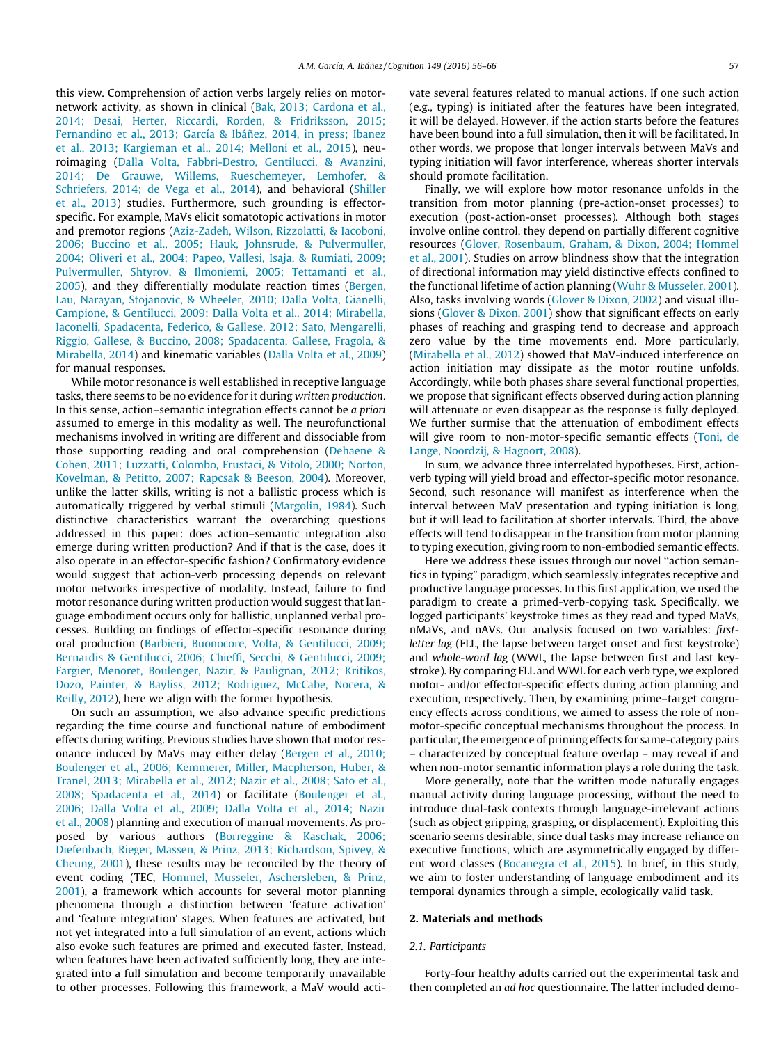this view. Comprehension of action verbs largely relies on motornetwork activity, as shown in clinical [\(Bak, 2013; Cardona et al.,](#page--1-0) [2014; Desai, Herter, Riccardi, Rorden, & Fridriksson, 2015;](#page--1-0) [Fernandino et al., 2013; García & Ibáñez, 2014, in press; Ibanez](#page--1-0) [et al., 2013; Kargieman et al., 2014; Melloni et al., 2015](#page--1-0)), neuroimaging ([Dalla Volta, Fabbri-Destro, Gentilucci, & Avanzini,](#page--1-0) [2014; De Grauwe, Willems, Rueschemeyer, Lemhofer, &](#page--1-0) [Schriefers, 2014; de Vega et al., 2014](#page--1-0)), and behavioral [\(Shiller](#page--1-0) [et al., 2013\)](#page--1-0) studies. Furthermore, such grounding is effectorspecific. For example, MaVs elicit somatotopic activations in motor and premotor regions ([Aziz-Zadeh, Wilson, Rizzolatti, & Iacoboni,](#page--1-0) [2006; Buccino et al., 2005; Hauk, Johnsrude, & Pulvermuller,](#page--1-0) [2004; Oliveri et al., 2004; Papeo, Vallesi, Isaja, & Rumiati, 2009;](#page--1-0) [Pulvermuller, Shtyrov, & Ilmoniemi, 2005; Tettamanti et al.,](#page--1-0) [2005](#page--1-0)), and they differentially modulate reaction times ([Bergen,](#page--1-0) [Lau, Narayan, Stojanovic, & Wheeler, 2010; Dalla Volta, Gianelli,](#page--1-0) [Campione, & Gentilucci, 2009; Dalla Volta et al., 2014; Mirabella,](#page--1-0) [Iaconelli, Spadacenta, Federico, & Gallese, 2012; Sato, Mengarelli,](#page--1-0) [Riggio, Gallese, & Buccino, 2008; Spadacenta, Gallese, Fragola, &](#page--1-0) [Mirabella, 2014\)](#page--1-0) and kinematic variables ([Dalla Volta et al., 2009\)](#page--1-0) for manual responses.

While motor resonance is well established in receptive language tasks, there seems to be no evidence for it during written production. In this sense, action–semantic integration effects cannot be a priori assumed to emerge in this modality as well. The neurofunctional mechanisms involved in writing are different and dissociable from those supporting reading and oral comprehension [\(Dehaene &](#page--1-0) [Cohen, 2011; Luzzatti, Colombo, Frustaci, & Vitolo, 2000; Norton,](#page--1-0) [Kovelman, & Petitto, 2007; Rapcsak & Beeson, 2004\)](#page--1-0). Moreover, unlike the latter skills, writing is not a ballistic process which is automatically triggered by verbal stimuli ([Margolin, 1984](#page--1-0)). Such distinctive characteristics warrant the overarching questions addressed in this paper: does action–semantic integration also emerge during written production? And if that is the case, does it also operate in an effector-specific fashion? Confirmatory evidence would suggest that action-verb processing depends on relevant motor networks irrespective of modality. Instead, failure to find motor resonance during written production would suggest that language embodiment occurs only for ballistic, unplanned verbal processes. Building on findings of effector-specific resonance during oral production [\(Barbieri, Buonocore, Volta, & Gentilucci, 2009;](#page--1-0) [Bernardis & Gentilucci, 2006; Chieffi, Secchi, & Gentilucci, 2009;](#page--1-0) [Fargier, Menoret, Boulenger, Nazir, & Paulignan, 2012; Kritikos,](#page--1-0) [Dozo, Painter, & Bayliss, 2012; Rodriguez, McCabe, Nocera, &](#page--1-0) [Reilly, 2012\)](#page--1-0), here we align with the former hypothesis.

On such an assumption, we also advance specific predictions regarding the time course and functional nature of embodiment effects during writing. Previous studies have shown that motor resonance induced by MaVs may either delay [\(Bergen et al., 2010;](#page--1-0) [Boulenger et al., 2006; Kemmerer, Miller, Macpherson, Huber, &](#page--1-0) [Tranel, 2013; Mirabella et al., 2012; Nazir et al., 2008; Sato et al.,](#page--1-0) [2008; Spadacenta et al., 2014\)](#page--1-0) or facilitate [\(Boulenger et al.,](#page--1-0) [2006; Dalla Volta et al., 2009; Dalla Volta et al., 2014; Nazir](#page--1-0) [et al., 2008](#page--1-0)) planning and execution of manual movements. As proposed by various authors [\(Borreggine & Kaschak, 2006;](#page--1-0) [Diefenbach, Rieger, Massen, & Prinz, 2013; Richardson, Spivey, &](#page--1-0) [Cheung, 2001](#page--1-0)), these results may be reconciled by the theory of event coding (TEC, [Hommel, Musseler, Aschersleben, & Prinz,](#page--1-0) [2001](#page--1-0)), a framework which accounts for several motor planning phenomena through a distinction between 'feature activation' and 'feature integration' stages. When features are activated, but not yet integrated into a full simulation of an event, actions which also evoke such features are primed and executed faster. Instead, when features have been activated sufficiently long, they are integrated into a full simulation and become temporarily unavailable to other processes. Following this framework, a MaV would activate several features related to manual actions. If one such action (e.g., typing) is initiated after the features have been integrated, it will be delayed. However, if the action starts before the features have been bound into a full simulation, then it will be facilitated. In other words, we propose that longer intervals between MaVs and typing initiation will favor interference, whereas shorter intervals should promote facilitation.

Finally, we will explore how motor resonance unfolds in the transition from motor planning (pre-action-onset processes) to execution (post-action-onset processes). Although both stages involve online control, they depend on partially different cognitive resources ([Glover, Rosenbaum, Graham, & Dixon, 2004; Hommel](#page--1-0) [et al., 2001](#page--1-0)). Studies on arrow blindness show that the integration of directional information may yield distinctive effects confined to the functional lifetime of action planning ([Wuhr & Musseler, 2001\)](#page--1-0). Also, tasks involving words ([Glover & Dixon, 2002\)](#page--1-0) and visual illusions [\(Glover & Dixon, 2001](#page--1-0)) show that significant effects on early phases of reaching and grasping tend to decrease and approach zero value by the time movements end. More particularly, ([Mirabella et al., 2012](#page--1-0)) showed that MaV-induced interference on action initiation may dissipate as the motor routine unfolds. Accordingly, while both phases share several functional properties, we propose that significant effects observed during action planning will attenuate or even disappear as the response is fully deployed. We further surmise that the attenuation of embodiment effects will give room to non-motor-specific semantic effects [\(Toni, de](#page--1-0) [Lange, Noordzij, & Hagoort, 2008](#page--1-0)).

In sum, we advance three interrelated hypotheses. First, actionverb typing will yield broad and effector-specific motor resonance. Second, such resonance will manifest as interference when the interval between MaV presentation and typing initiation is long, but it will lead to facilitation at shorter intervals. Third, the above effects will tend to disappear in the transition from motor planning to typing execution, giving room to non-embodied semantic effects.

Here we address these issues through our novel ''action semantics in typing" paradigm, which seamlessly integrates receptive and productive language processes. In this first application, we used the paradigm to create a primed-verb-copying task. Specifically, we logged participants' keystroke times as they read and typed MaVs, nMaVs, and nAVs. Our analysis focused on two variables: firstletter lag (FLL, the lapse between target onset and first keystroke) and whole-word lag (WWL, the lapse between first and last keystroke). By comparing FLL and WWL for each verb type, we explored motor- and/or effector-specific effects during action planning and execution, respectively. Then, by examining prime–target congruency effects across conditions, we aimed to assess the role of nonmotor-specific conceptual mechanisms throughout the process. In particular, the emergence of priming effects for same-category pairs – characterized by conceptual feature overlap – may reveal if and when non-motor semantic information plays a role during the task.

More generally, note that the written mode naturally engages manual activity during language processing, without the need to introduce dual-task contexts through language-irrelevant actions (such as object gripping, grasping, or displacement). Exploiting this scenario seems desirable, since dual tasks may increase reliance on executive functions, which are asymmetrically engaged by different word classes ([Bocanegra et al., 2015\)](#page--1-0). In brief, in this study, we aim to foster understanding of language embodiment and its temporal dynamics through a simple, ecologically valid task.

#### 2. Materials and methods

#### 2.1. Participants

Forty-four healthy adults carried out the experimental task and then completed an ad hoc questionnaire. The latter included demo